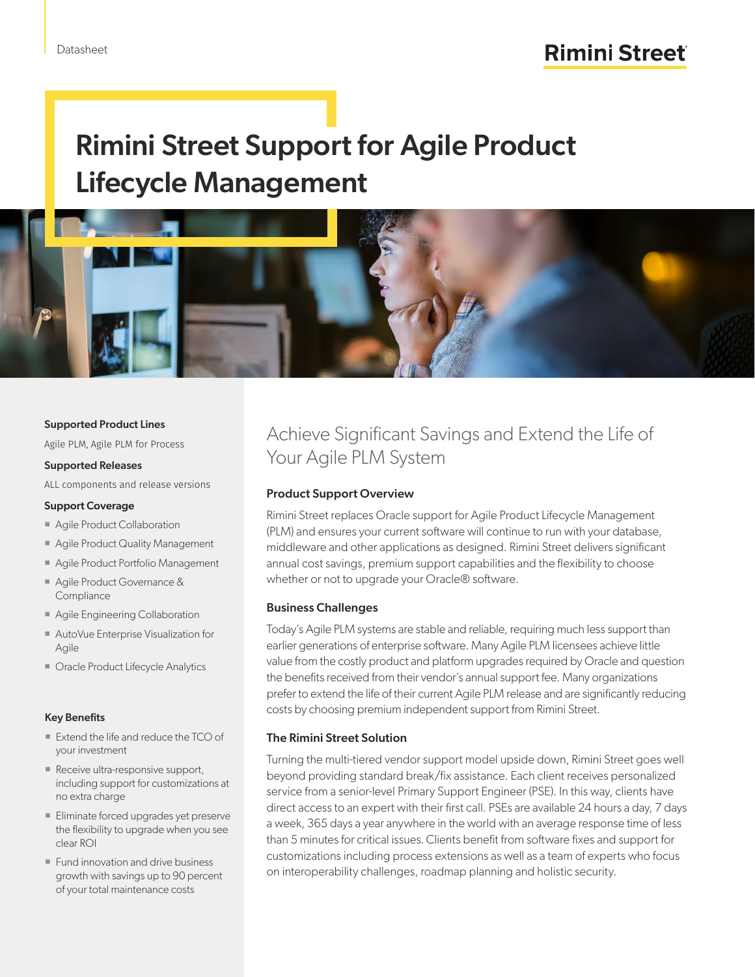# Rimini Street Support for Agile Product Lifecycle Management



#### Supported Product Lines

Agile PLM, Agile PLM for Process

#### Supported Releases

ALL components and release versions

#### Support Coverage

- Agile Product Collaboration
- **Agile Product Quality Management**
- Agile Product Portfolio Management
- Agile Product Governance & **Compliance**
- **Agile Engineering Collaboration**
- AutoVue Enterprise Visualization for Agile
- **Dracle Product Lifecycle Analytics**

#### Key Benefits

- Extend the life and reduce the TCO of your investment
- Receive ultra-responsive support, including support for customizations at no extra charge
- Eliminate forced upgrades yet preserve the flexibility to upgrade when you see clear ROI
- **Fund innovation and drive business** growth with savings up to 90 percent of your total maintenance costs

### Achieve Significant Savings and Extend the Life of Your Agile PLM System

#### Product Support Overview

Rimini Street replaces Oracle support for Agile Product Lifecycle Management (PLM) and ensures your current software will continue to run with your database, middleware and other applications as designed. Rimini Street delivers significant annual cost savings, premium support capabilities and the flexibility to choose whether or not to upgrade your Oracle® software.

#### Business Challenges

Today's Agile PLM systems are stable and reliable, requiring much less support than earlier generations of enterprise software. Many Agile PLM licensees achieve little value from the costly product and platform upgrades required by Oracle and question the benefits received from their vendor's annual support fee. Many organizations prefer to extend the life of their current Agile PLM release and are significantly reducing costs by choosing premium independent support from Rimini Street.

#### The Rimini Street Solution

Turning the multi-tiered vendor support model upside down, Rimini Street goes well beyond providing standard break/fix assistance. Each client receives personalized service from a senior-level Primary Support Engineer (PSE). In this way, clients have direct access to an expert with their first call. PSEs are available 24 hours a day, 7 days a week, 365 days a year anywhere in the world with an average response time of less than 5 minutes for critical issues. Clients benefit from software fixes and support for customizations including process extensions as well as a team of experts who focus on interoperability challenges, roadmap planning and holistic security.